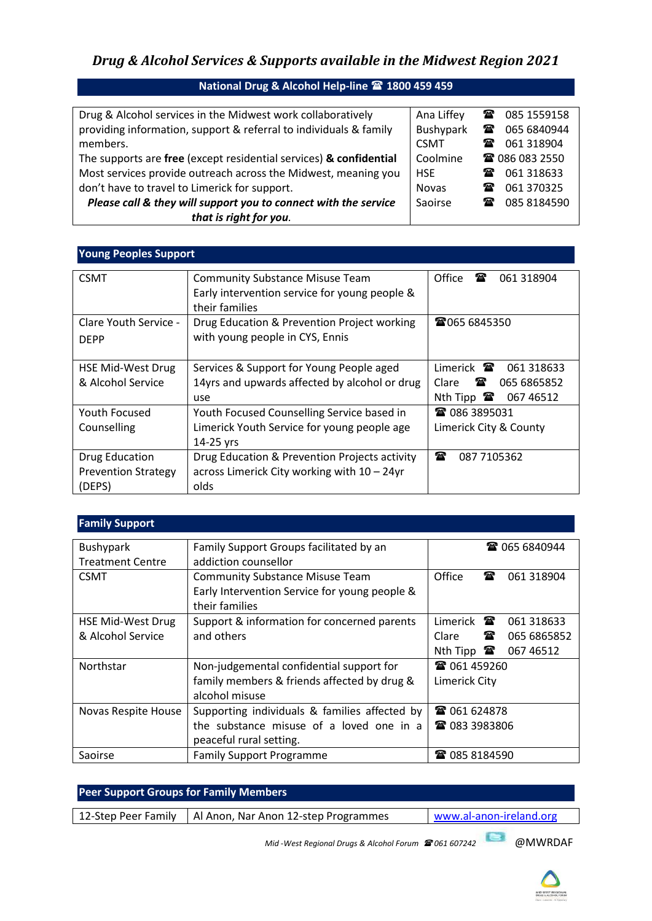# *Drug & Alcohol Services & Supports available in the Midwest Region 2021*

| Drug & Alcohol services in the Midwest work collaboratively        | Ana Liffey   | $\mathbf{T}$ | 085 1559158           |
|--------------------------------------------------------------------|--------------|--------------|-----------------------|
| providing information, support & referral to individuals & family  | Bushypark    | ☎            | 065 6840944           |
| members.                                                           | <b>CSMT</b>  |              | ■ 061 318904          |
| The supports are free (except residential services) & confidential | Coolmine     |              | <b>雷 086 083 2550</b> |
| Most services provide outreach across the Midwest, meaning you     | <b>HSE</b>   | $\mathbf x$  | 061 318633            |
| don't have to travel to Limerick for support.                      | <b>Novas</b> | t            | 061 370 325           |
| Please call & they will support you to connect with the service    | Saoirse      | $\mathbf{r}$ | 085 8184590           |
| that is right for you.                                             |              |              |                       |
|                                                                    |              |              |                       |

#### **Young Peoples Support** CSMT CSMT | Community Substance Misuse Team Early intervention service for young people & their families Office <sup>1</sup> 061 318904 Clare Youth Service - DEPP Drug Education & Prevention Project working with young people in CYS, Ennis ■065 6845350 HSE Mid-West Drug & Alcohol Service Services & Support for Young People aged 14yrs and upwards affected by alcohol or drug use Limerick **<sup>3</sup>** 061 318633 Clare **<sup>3</sup>** 065 6865852 Nth Tipp <sup>2</sup> 067 46512 Youth Focused Counselling Youth Focused Counselling Service based in Limerick Youth Service for young people age 14-25 yrs ■ 086 3895031 Limerick City & County Drug Education Prevention Strategy (DEPS) Drug Education & Prevention Projects activity across Limerick City working with 10 – 24yr olds ■ 087 7105362

| <b>Family Support</b>   |                                               |                                 |                      |
|-------------------------|-----------------------------------------------|---------------------------------|----------------------|
| Bushypark               | Family Support Groups facilitated by an       |                                 | <b>雷 065 6840944</b> |
| <b>Treatment Centre</b> | addiction counsellor                          |                                 |                      |
| <b>CSMT</b>             | <b>Community Substance Misuse Team</b>        | $\mathbf{r}$<br>Office          | 061 318904           |
|                         | Early Intervention Service for young people & |                                 |                      |
|                         | their families                                |                                 |                      |
| HSE Mid-West Drug       | Support & information for concerned parents   | Limerick $\mathbf{\mathcal{F}}$ | 061 318633           |
| & Alcohol Service       | and others                                    | Clare<br>奮                      | 065 6865852          |
|                         |                                               | Nth Tipp $\mathbf{\mathcal{F}}$ | 067 46512            |
| Northstar               | Non-judgemental confidential support for      | <b>雷 061 459260</b>             |                      |
|                         | family members & friends affected by drug &   | Limerick City                   |                      |
|                         | alcohol misuse                                |                                 |                      |
| Novas Respite House     | Supporting individuals & families affected by | <b>雷 061 624878</b>             |                      |
|                         | the substance misuse of a loved one in a      | <b>雷 083 3983806</b>            |                      |
|                         | peaceful rural setting.                       |                                 |                      |
| Saoirse                 | <b>Family Support Programme</b>               | ☎ 085 8184590                   |                      |

| <b>Peer Support Groups for Family Members</b> |                                                                 |                         |
|-----------------------------------------------|-----------------------------------------------------------------|-------------------------|
| 12-Step Peer Family                           | Al Anon, Nar Anon 12-step Programmes                            | www.al-anon-ireland.org |
|                                               | Mid-West Regional Drugs & Alcohol Forum <sup>2</sup> 061 607242 | @MWRDAF                 |

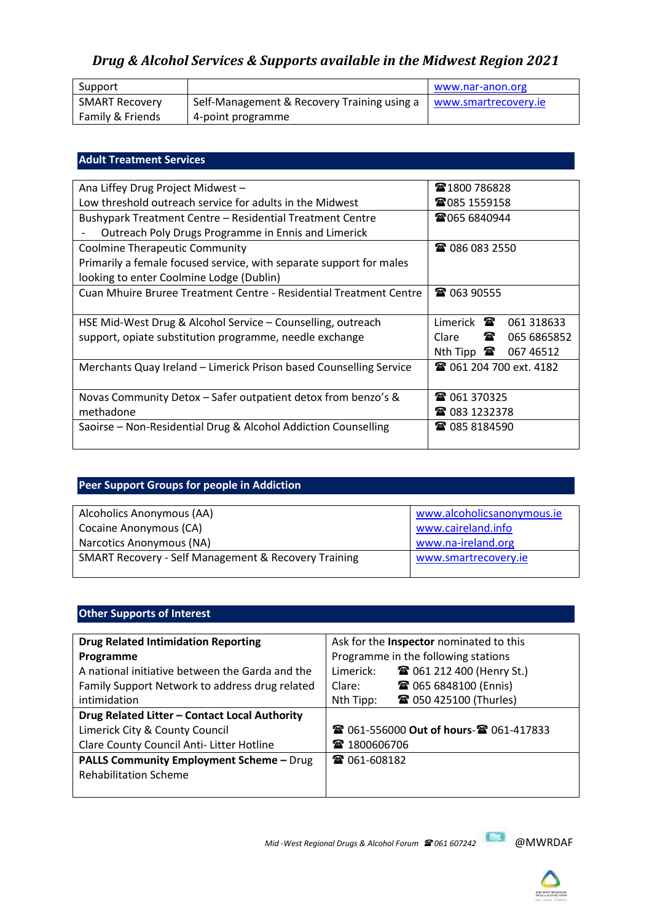# *Drug & Alcohol Services & Supports available in the Midwest Region 2021*

| Support               |                                             | www.nar-anon.org     |
|-----------------------|---------------------------------------------|----------------------|
| <b>SMART Recovery</b> | Self-Management & Recovery Training using a | www.smartrecovery.ie |
| Family & Friends      | 4-point programme                           |                      |

### **Adult Treatment Services**

| Ana Liffey Drug Project Midwest -                                         | ☎1800 786828                                  |  |
|---------------------------------------------------------------------------|-----------------------------------------------|--|
| Low threshold outreach service for adults in the Midwest                  | <b>雷085 1559158</b>                           |  |
| Bushypark Treatment Centre - Residential Treatment Centre                 | <b>雷065 6840944</b>                           |  |
| Outreach Poly Drugs Programme in Ennis and Limerick                       |                                               |  |
| <b>Coolmine Therapeutic Community</b>                                     | <b>雷 086 083 2550</b>                         |  |
| Primarily a female focused service, with separate support for males       |                                               |  |
| looking to enter Coolmine Lodge (Dublin)                                  |                                               |  |
| <b>Cuan Mhuire Bruree Treatment Centre - Residential Treatment Centre</b> | ☎ 063 90555                                   |  |
|                                                                           |                                               |  |
| HSE Mid-West Drug & Alcohol Service – Counselling, outreach               | Limerick $\mathbf{\mathcal{F}}$<br>061 318633 |  |
| support, opiate substitution programme, needle exchange                   | 雷<br>Clare<br>065 6865852                     |  |
|                                                                           | Nth Tipp $\mathbf{\mathcal{F}}$<br>067 46512  |  |
| Merchants Quay Ireland - Limerick Prison based Counselling Service        | <b>■ 061 204 700 ext. 4182</b>                |  |
|                                                                           |                                               |  |
| Novas Community Detox - Safer outpatient detox from benzo's &             | ☎ 061 370325                                  |  |
| methadone                                                                 | ☎ 083 1232378                                 |  |
| Saoirse – Non-Residential Drug & Alcohol Addiction Counselling            | ☎ 085 8184590                                 |  |
|                                                                           |                                               |  |

## **Peer Support Groups for people in Addiction**

| Alcoholics Anonymous (AA)                                       | www.alcoholicsanonymous.ie |
|-----------------------------------------------------------------|----------------------------|
| Cocaine Anonymous (CA)                                          | www.caireland.info         |
| Narcotics Anonymous (NA)                                        | www.na-ireland.org         |
| <b>SMART Recovery - Self Management &amp; Recovery Training</b> | www.smartrecovery.ie       |
|                                                                 |                            |

## **Other Supports of Interest**

| <b>Drug Related Intimidation Reporting</b>      | Ask for the <b>Inspector</b> nominated to this |  |
|-------------------------------------------------|------------------------------------------------|--|
| Programme                                       | Programme in the following stations            |  |
| A national initiative between the Garda and the | <b>■ 061 212 400 (Henry St.)</b><br>Limerick:  |  |
| Family Support Network to address drug related  | <b>雷 065 6848100 (Ennis)</b><br>Clare:         |  |
| intimidation                                    | ☎ 050 425100 (Thurles)<br>Nth Tipp:            |  |
| Drug Related Litter - Contact Local Authority   |                                                |  |
| Limerick City & County Council                  | <b>@ 061-556000 Out of hours-@ 061-417833</b>  |  |
| Clare County Council Anti- Litter Hotline       | ☎ 1800606706                                   |  |
| <b>PALLS Community Employment Scheme - Drug</b> | ☎ 061-608182                                   |  |
| <b>Rehabilitation Scheme</b>                    |                                                |  |
|                                                 |                                                |  |

*Mid -West Regional Drugs & Alcohol Forum 061 607242* @MWRDAF